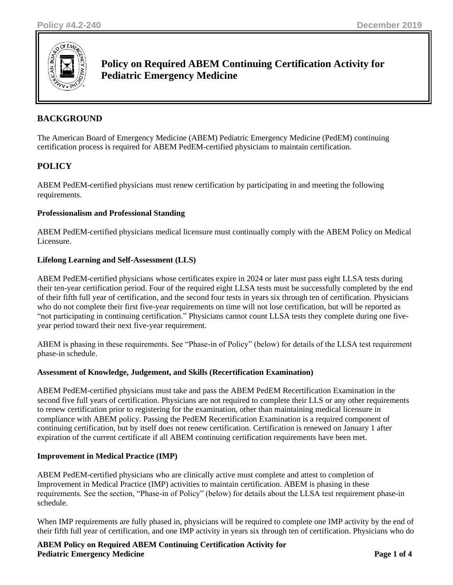

# **Policy on Required ABEM Continuing Certification Activity for Pediatric Emergency Medicine**

## **BACKGROUND**

The American Board of Emergency Medicine (ABEM) Pediatric Emergency Medicine (PedEM) continuing certification process is required for ABEM PedEM-certified physicians to maintain certification.

## **POLICY**

ABEM PedEM-certified physicians must renew certification by participating in and meeting the following requirements.

### **Professionalism and Professional Standing**

ABEM PedEM-certified physicians medical licensure must continually comply with the ABEM Policy on Medical Licensure.

### **Lifelong Learning and Self-Assessment (LLS)**

ABEM PedEM-certified physicians whose certificates expire in 2024 or later must pass eight LLSA tests during their ten-year certification period. Four of the required eight LLSA tests must be successfully completed by the end of their fifth full year of certification, and the second four tests in years six through ten of certification. Physicians who do not complete their first five-year requirements on time will not lose certification, but will be reported as "not participating in continuing certification." Physicians cannot count LLSA tests they complete during one fiveyear period toward their next five-year requirement.

ABEM is phasing in these requirements. See "Phase-in of Policy" (below) for details of the LLSA test requirement phase-in schedule.

#### **Assessment of Knowledge, Judgement, and Skills (Recertification Examination)**

ABEM PedEM-certified physicians must take and pass the ABEM PedEM Recertification Examination in the second five full years of certification. Physicians are not required to complete their LLS or any other requirements to renew certification prior to registering for the examination, other than maintaining medical licensure in compliance with ABEM policy. Passing the PedEM Recertification Examination is a required component of continuing certification, but by itself does not renew certification. Certification is renewed on January 1 after expiration of the current certificate if all ABEM continuing certification requirements have been met.

#### **Improvement in Medical Practice (IMP)**

ABEM PedEM-certified physicians who are clinically active must complete and attest to completion of Improvement in Medical Practice (IMP) activities to maintain certification. ABEM is phasing in these requirements. See the section, "Phase-in of Policy" (below) for details about the LLSA test requirement phase-in schedule.

When IMP requirements are fully phased in, physicians will be required to complete one IMP activity by the end of their fifth full year of certification, and one IMP activity in years six through ten of certification. Physicians who do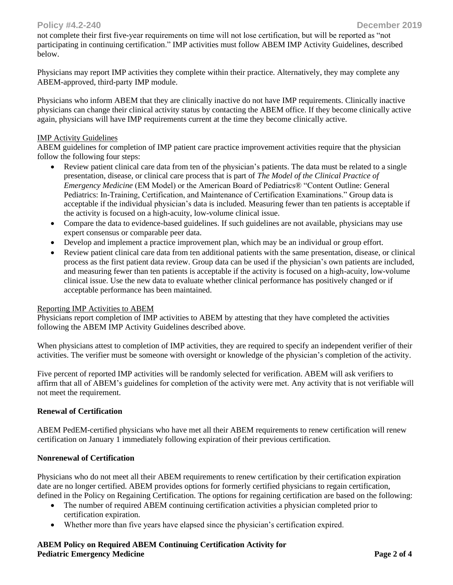not complete their first five-year requirements on time will not lose certification, but will be reported as "not participating in continuing certification." IMP activities must follow ABEM IMP Activity Guidelines, described below.

Physicians may report IMP activities they complete within their practice. Alternatively, they may complete any ABEM-approved, third-party IMP module.

Physicians who inform ABEM that they are clinically inactive do not have IMP requirements. Clinically inactive physicians can change their clinical activity status by contacting the ABEM office. If they become clinically active again, physicians will have IMP requirements current at the time they become clinically active.

#### IMP Activity Guidelines

ABEM guidelines for completion of IMP patient care practice improvement activities require that the physician follow the following four steps:

- Review patient clinical care data from ten of the physician's patients. The data must be related to a single presentation, disease, or clinical care process that is part of *The Model of the Clinical Practice of Emergency Medicine* (EM Model) or the American Board of Pediatrics® "Content Outline: General Pediatrics: In-Training, Certification, and Maintenance of Certification Examinations." Group data is acceptable if the individual physician's data is included. Measuring fewer than ten patients is acceptable if the activity is focused on a high-acuity, low-volume clinical issue.
- Compare the data to evidence-based guidelines. If such guidelines are not available, physicians may use expert consensus or comparable peer data.
- Develop and implement a practice improvement plan, which may be an individual or group effort.
- Review patient clinical care data from ten additional patients with the same presentation, disease, or clinical process as the first patient data review. Group data can be used if the physician's own patients are included, and measuring fewer than ten patients is acceptable if the activity is focused on a high-acuity, low-volume clinical issue. Use the new data to evaluate whether clinical performance has positively changed or if acceptable performance has been maintained.

#### Reporting IMP Activities to ABEM

Physicians report completion of IMP activities to ABEM by attesting that they have completed the activities following the ABEM IMP Activity Guidelines described above.

When physicians attest to completion of IMP activities, they are required to specify an independent verifier of their activities. The verifier must be someone with oversight or knowledge of the physician's completion of the activity.

Five percent of reported IMP activities will be randomly selected for verification. ABEM will ask verifiers to affirm that all of ABEM's guidelines for completion of the activity were met. Any activity that is not verifiable will not meet the requirement.

#### **Renewal of Certification**

ABEM PedEM-certified physicians who have met all their ABEM requirements to renew certification will renew certification on January 1 immediately following expiration of their previous certification.

#### **Nonrenewal of Certification**

Physicians who do not meet all their ABEM requirements to renew certification by their certification expiration date are no longer certified. ABEM provides options for formerly certified physicians to regain certification, defined in the Policy on Regaining Certification. The options for regaining certification are based on the following:

- The number of required ABEM continuing certification activities a physician completed prior to certification expiration.
- Whether more than five years have elapsed since the physician's certification expired.

### **ABEM Policy on Required ABEM Continuing Certification Activity for Pediatric Emergency Medicine 2 of 4**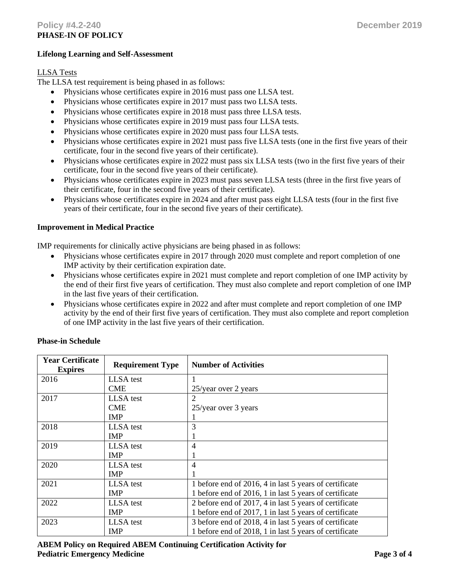#### **Lifelong Learning and Self-Assessment**

#### LLSA Tests

The LLSA test requirement is being phased in as follows:

- Physicians whose certificates expire in 2016 must pass one LLSA test.
- Physicians whose certificates expire in 2017 must pass two LLSA tests.
- Physicians whose certificates expire in 2018 must pass three LLSA tests.
- Physicians whose certificates expire in 2019 must pass four LLSA tests.
- Physicians whose certificates expire in 2020 must pass four LLSA tests.
- Physicians whose certificates expire in 2021 must pass five LLSA tests (one in the first five years of their certificate, four in the second five years of their certificate).
- Physicians whose certificates expire in 2022 must pass six LLSA tests (two in the first five years of their certificate, four in the second five years of their certificate).
- Physicians whose certificates expire in 2023 must pass seven LLSA tests (three in the first five years of their certificate, four in the second five years of their certificate).
- Physicians whose certificates expire in 2024 and after must pass eight LLSA tests (four in the first five years of their certificate, four in the second five years of their certificate).

#### **Improvement in Medical Practice**

IMP requirements for clinically active physicians are being phased in as follows:

- Physicians whose certificates expire in 2017 through 2020 must complete and report completion of one IMP activity by their certification expiration date.
- Physicians whose certificates expire in 2021 must complete and report completion of one IMP activity by the end of their first five years of certification. They must also complete and report completion of one IMP in the last five years of their certification.
- Physicians whose certificates expire in 2022 and after must complete and report completion of one IMP activity by the end of their first five years of certification. They must also complete and report completion of one IMP activity in the last five years of their certification.

| <b>Year Certificate</b><br><b>Expires</b> | <b>Requirement Type</b> | <b>Number of Activities</b>                            |
|-------------------------------------------|-------------------------|--------------------------------------------------------|
| 2016                                      | LLSA test               |                                                        |
|                                           | <b>CME</b>              | 25/year over 2 years                                   |
| 2017                                      | LLSA test               | 2                                                      |
|                                           | <b>CME</b>              | 25/year over 3 years                                   |
|                                           | <b>IMP</b>              |                                                        |
| 2018                                      | LLSA test               | 3                                                      |
|                                           | <b>IMP</b>              |                                                        |
| 2019                                      | LLSA test               | $\overline{4}$                                         |
|                                           | <b>IMP</b>              |                                                        |
| 2020                                      | LLSA test               | $\overline{4}$                                         |
|                                           | <b>IMP</b>              |                                                        |
| 2021                                      | LLSA test               | 1 before end of 2016, 4 in last 5 years of certificate |
|                                           | <b>IMP</b>              | 1 before end of 2016, 1 in last 5 years of certificate |
| 2022                                      | LLSA test               | 2 before end of 2017, 4 in last 5 years of certificate |
|                                           | <b>IMP</b>              | 1 before end of 2017, 1 in last 5 years of certificate |
| 2023                                      | LLSA test               | 3 before end of 2018, 4 in last 5 years of certificate |
|                                           | <b>IMP</b>              | 1 before end of 2018, 1 in last 5 years of certificate |

## **Phase-in Schedule**